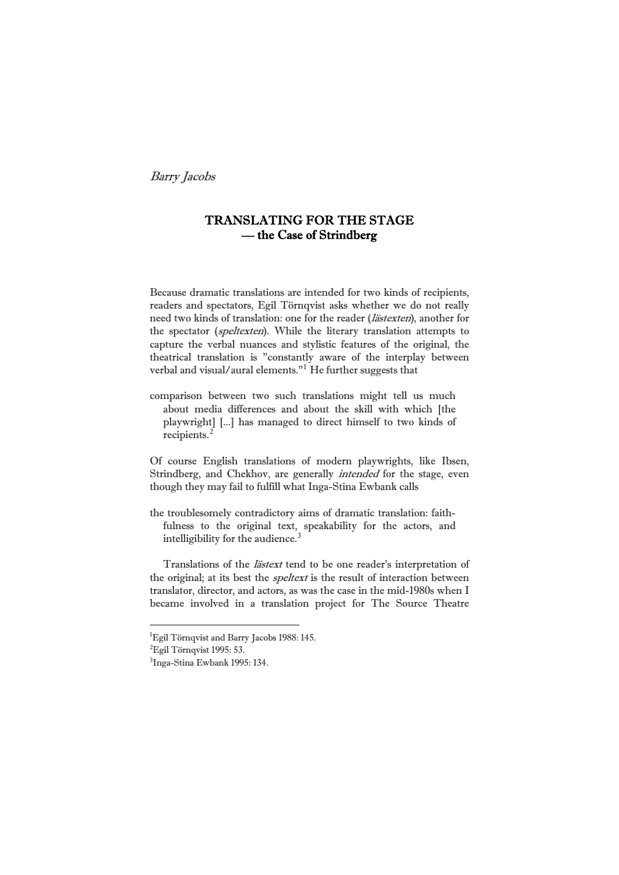Barry Jacobs

# TRANSLATING FOR THE STAGE — the Case of Strindberg

Because dramatic translations are intended for two kinds of recipients, readers and spectators, Egil Törnqvist asks whether we do not really need two kinds of translation: one for the reader (lästexten), another for the spectator (speltexten). While the literary translation attempts to capture the verbal nuances and stylistic features of the original, the theatrical translation is "constantly aware of the interplay between verbal and visual/aural elements."<sup>[1](#page-0-0)</sup> He further suggests that

comparison between two such translations might tell us much about media differences and about the skill with which [the playwright] [...] has managed to direct himself to two kinds of recipients.<sup>[2](#page-0-1)</sup>

Of course English translations of modern playwrights, like Ibsen, Strindberg, and Chekhov, are generally intended for the stage, even though they may fail to fulfill what Inga-Stina Ewbank calls

the troublesomely contradictory aims of dramatic translation: faithfulness to the original text, speakability for the actors, and intelligibility for the audience. $3$ 

 Translations of the lästext tend to be one reader's interpretation of the original; at its best the *speltext* is the result of interaction between translator, director, and actors, as was the case in the mid-1980s when I became involved in a translation project for The Source Theatre

È,

<sup>&</sup>lt;sup>1</sup>Egil Törnqvist and Barry Jacobs 1988: 145.

<span id="page-0-1"></span><span id="page-0-0"></span><sup>2</sup> Egil Törnqvist 1995: 53.

<span id="page-0-2"></span><sup>3</sup> Inga-Stina Ewbank 1995: 134.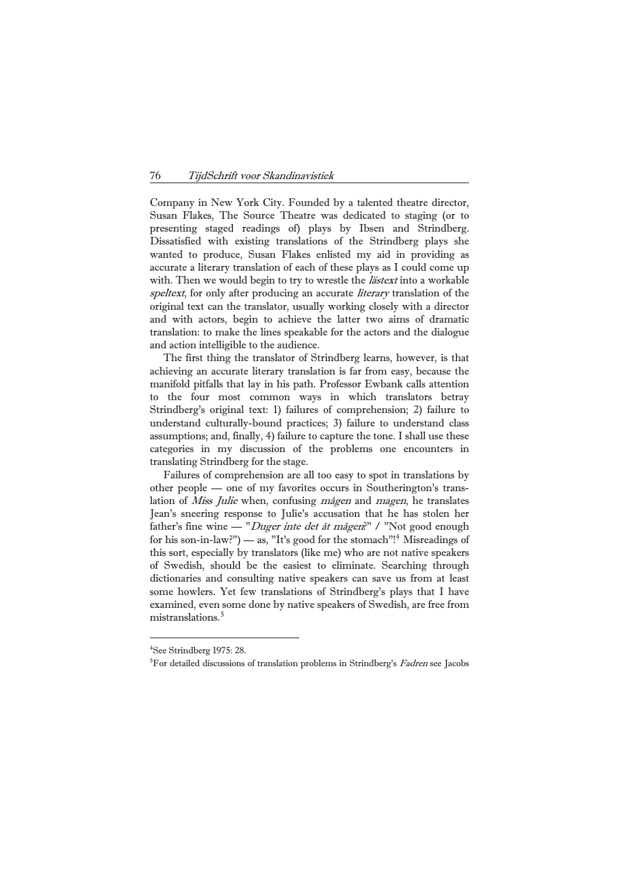Company in New York City. Founded by a talented theatre director, Susan Flakes, The Source Theatre was dedicated to staging (or to presenting staged readings of) plays by Ibsen and Strindberg. Dissatisfied with existing translations of the Strindberg plays she wanted to produce, Susan Flakes enlisted my aid in providing as accurate a literary translation of each of these plays as I could come up with. Then we would begin to try to wrestle the *lästext* into a workable speltext, for only after producing an accurate *literary* translation of the original text can the translator, usually working closely with a director and with actors, begin to achieve the latter two aims of dramatic translation: to make the lines speakable for the actors and the dialogue and action intelligible to the audience.

 The first thing the translator of Strindberg learns, however, is that achieving an accurate literary translation is far from easy, because the manifold pitfalls that lay in his path. Professor Ewbank calls attention to the four most common ways in which translators betray Strindberg's original text: 1) failures of comprehension; 2) failure to understand culturally-bound practices; 3) failure to understand class assumptions; and, finally, 4) failure to capture the tone. I shall use these categories in my discussion of the problems one encounters in translating Strindberg for the stage.

 Failures of comprehension are all too easy to spot in translations by other people — one of my favorites occurs in Southerington's translation of *Miss Julie* when, confusing *mågen* and *magen*, he translates Jean's sneering response to Julie's accusation that he has stolen her father's fine wine — "Duger inte det åt mågen?" / "Not good enough for his son-in-law?") — as, "It's good for the stomach"!<sup>[4](#page-1-0)</sup> Misreadings of this sort, especially by translators (like me) who are not native speakers of Swedish, should be the easiest to eliminate. Searching through dictionaries and consulting native speakers can save us from at least some howlers. Yet few translations of Strindberg's plays that I have examined, even some done by native speakers of Swedish, are free from mistranslations.[5](#page-1-1)

<span id="page-1-1"></span><span id="page-1-0"></span><sup>4</sup> See Strindberg 1975: 28.

<sup>&</sup>lt;sup>5</sup>For detailed discussions of translation problems in Strindberg's Fadren see Jacobs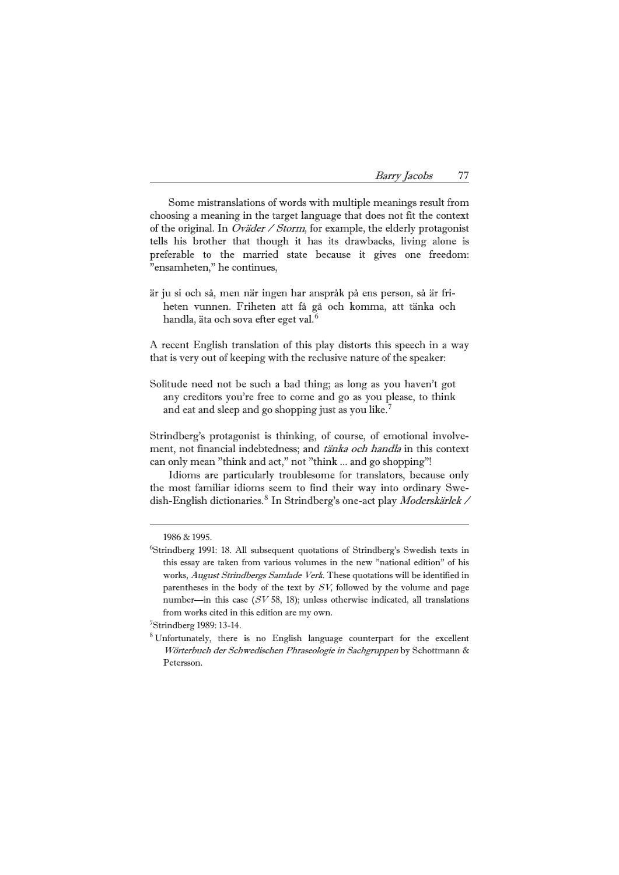| <i>Barry Jacobs</i> | 77 |
|---------------------|----|
|                     |    |

 Some mistranslations of words with multiple meanings result from choosing a meaning in the target language that does not fit the context of the original. In *Oväder / Storm*, for example, the elderly protagonist tells his brother that though it has its drawbacks, living alone is preferable to the married state because it gives one freedom: "ensamheten," he continues,

är ju si och så, men när ingen har anspråk på ens person, så är friheten vunnen. Friheten att få gå och komma, att tänka och handla, äta och sova efter eget val.<sup>[6](#page-2-0)</sup>

A recent English translation of this play distorts this speech in a way that is very out of keeping with the reclusive nature of the speaker:

Solitude need not be such a bad thing; as long as you haven't got any creditors you're free to come and go as you please, to think and eat and sleep and go shopping just as you like.<sup>[7](#page-2-1)</sup>

Strindberg's protagonist is thinking, of course, of emotional involvement, not financial indebtedness; and tänka och handla in this context can only mean "think and act," not "think ... and go shopping"!

 Idioms are particularly troublesome for translators, because only the most familiar idioms seem to find their way into ordinary Swe-dish-English dictionaries.<sup>[8](#page-2-2)</sup> In Strindberg's one-act play Moderskärlek /

 $\overline{\phantom{0}}$ 

<span id="page-2-0"></span><sup>1986 &</sup>amp; 1995. 6 Strindberg 1991: 18. All subsequent quotations of Strindberg's Swedish texts in this essay are taken from various volumes in the new "national edition" of his works, August Strindbergs Samlade Verk. These quotations will be identified in parentheses in the body of the text by  $SV$ , followed by the volume and page number—in this case  $(SV 58, 18)$ ; unless otherwise indicated, all translations from works cited in this edition are my own.

<span id="page-2-1"></span>Strindberg 1989: 13-14.

<span id="page-2-2"></span><sup>&</sup>lt;sup>8</sup> Unfortunately, there is no English language counterpart for the excellent Wörterbuch der Schwedischen Phraseologie in Sachgruppen by Schottmann & Petersson.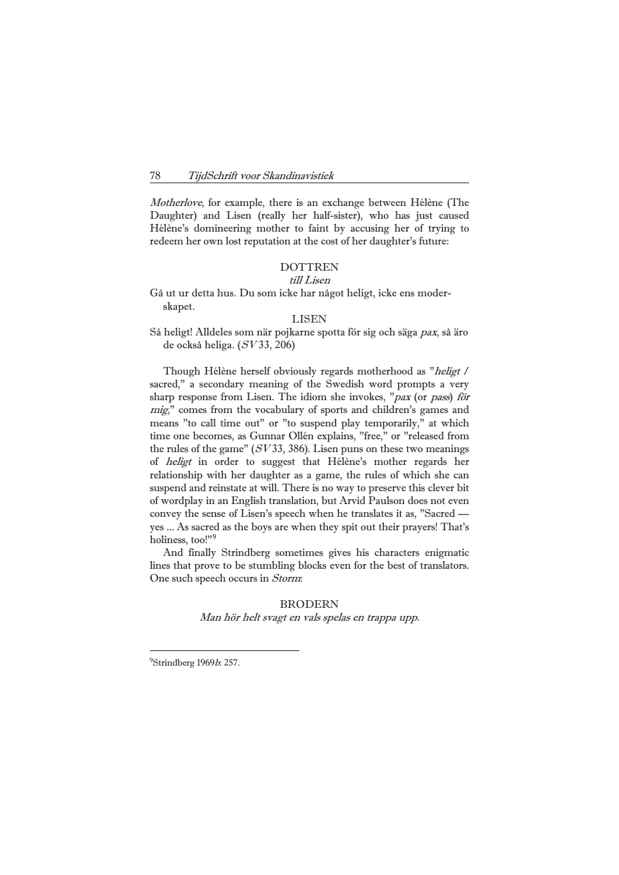Motherlove, for example, there is an exchange between Hélène (The Daughter) and Lisen (really her half-sister), who has just caused Hélène's domineering mother to faint by accusing her of trying to redeem her own lost reputation at the cost of her daughter's future:

# DOTTREN

# till Lisen

Gå ut ur detta hus. Du som icke har något heligt, icke ens moderskapet.

## LISEN

Så heligt! Alldeles som när pojkarne spotta för sig och säga pax, så äro de också heliga. (SV 33, 206)

 Though Hélène herself obviously regards motherhood as "heligt / sacred," a secondary meaning of the Swedish word prompts a very sharp response from Lisen. The idiom she invokes, "pax (or pass) för mig," comes from the vocabulary of sports and children's games and means "to call time out" or "to suspend play temporarily," at which time one becomes, as Gunnar Ollén explains, "free," or "released from the rules of the game" ( $SV33$ , 386). Lisen puns on these two meanings of heligt in order to suggest that Hélène's mother regards her relationship with her daughter as a game, the rules of which she can suspend and reinstate at will. There is no way to preserve this clever bit of wordplay in an English translation, but Arvid Paulson does not even convey the sense of Lisen's speech when he translates it as, "Sacred yes ... As sacred as the boys are when they spit out their prayers! That's holiness, too!"<sup>[9](#page-3-0)</sup>

 And finally Strindberg sometimes gives his characters enigmatic lines that prove to be stumbling blocks even for the best of translators. One such speech occurs in Storm:

## BRODERN

Man hör helt svagt en vals spelas en trappa upp.

<span id="page-3-0"></span><sup>&</sup>lt;sup>9</sup>Strindberg 1969*b*: 257.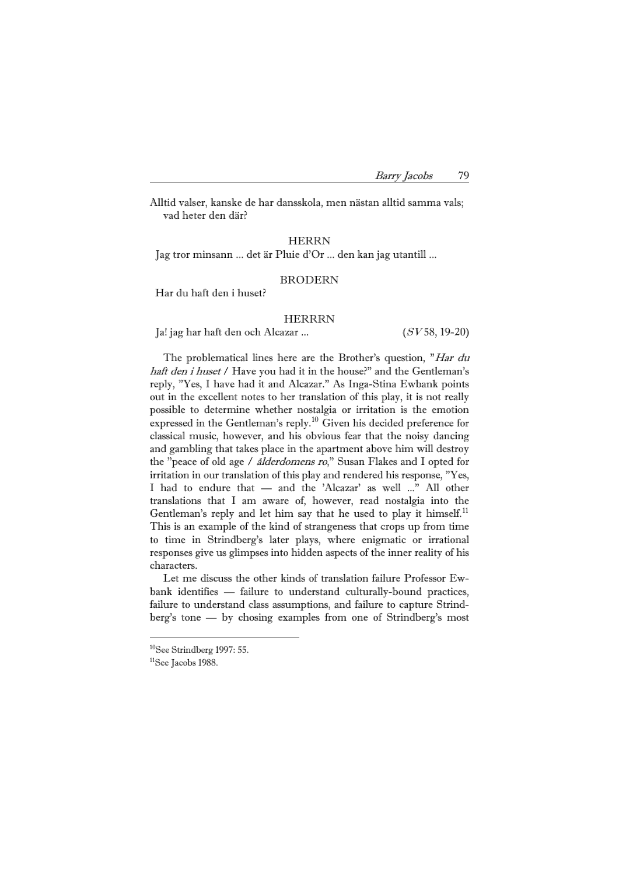| <i>Barry Jacobs</i> | 79 |
|---------------------|----|
|                     |    |

Alltid valser, kanske de har dansskola, men nästan alltid samma vals; vad heter den där?

#### HERRN

Jag tror minsann ... det är Pluie d'Or ... den kan jag utantill ...

### **BRODERN**

Har du haft den i huset?

#### HERRRN

Ja! jag har haft den och Alcazar ... (SV 58, 19-20)

The problematical lines here are the Brother's question, "Har du haft den i huset / Have you had it in the house?" and the Gentleman's reply, "Yes, I have had it and Alcazar." As Inga-Stina Ewbank points out in the excellent notes to her translation of this play, it is not really possible to determine whether nostalgia or irritation is the emotion expressed in the Gentleman's reply.<sup>[10](#page-4-0)</sup> Given his decided preference for classical music, however, and his obvious fear that the noisy dancing and gambling that takes place in the apartment above him will destroy the "peace of old age / ålderdomens ro," Susan Flakes and I opted for irritation in our translation of this play and rendered his response, "Yes, I had to endure that — and the 'Alcazar' as well ..." All other translations that I am aware of, however, read nostalgia into the Gentleman's reply and let him say that he used to play it himself.<sup>[11](#page-4-1)</sup> This is an example of the kind of strangeness that crops up from time to time in Strindberg's later plays, where enigmatic or irrational responses give us glimpses into hidden aspects of the inner reality of his characters.

 Let me discuss the other kinds of translation failure Professor Ewbank identifies — failure to understand culturally-bound practices, failure to understand class assumptions, and failure to capture Strindberg's tone — by chosing examples from one of Strindberg's most

È,

<span id="page-4-1"></span><span id="page-4-0"></span><sup>10</sup>See Strindberg 1997: 55.

<sup>&</sup>lt;sup>11</sup>See Jacobs 1988.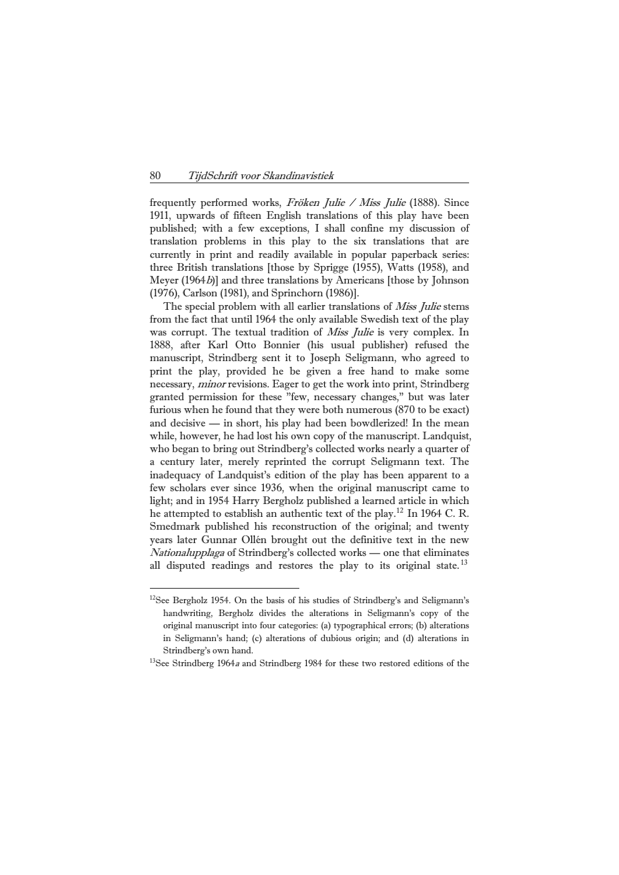frequently performed works, Fröken Julie / Miss Julie (1888). Since 1911, upwards of fifteen English translations of this play have been published; with a few exceptions, I shall confine my discussion of translation problems in this play to the six translations that are currently in print and readily available in popular paperback series: three British translations [those by Sprigge (1955), Watts (1958), and Meyer (1964b)] and three translations by Americans [those by Johnson (1976), Carlson (1981), and Sprinchorn (1986)].

The special problem with all earlier translations of *Miss Julie* stems from the fact that until 1964 the only available Swedish text of the play was corrupt. The textual tradition of *Miss Julie* is very complex. In 1888, after Karl Otto Bonnier (his usual publisher) refused the manuscript, Strindberg sent it to Joseph Seligmann, who agreed to print the play, provided he be given a free hand to make some necessary, minor revisions. Eager to get the work into print, Strindberg granted permission for these "few, necessary changes," but was later furious when he found that they were both numerous (870 to be exact) and decisive — in short, his play had been bowdlerized! In the mean while, however, he had lost his own copy of the manuscript. Landquist, who began to bring out Strindberg's collected works nearly a quarter of a century later, merely reprinted the corrupt Seligmann text. The inadequacy of Landquist's edition of the play has been apparent to a few scholars ever since 1936, when the original manuscript came to light; and in 1954 Harry Bergholz published a learned article in which he attempted to establish an authentic text of the play.<sup>[12](#page-5-0)</sup> In 1964 C. R. Smedmark published his reconstruction of the original; and twenty years later Gunnar Ollén brought out the definitive text in the new Nationalupplaga of Strindberg's collected works — one that eliminates all disputed readings and restores the play to its original state.<sup>[13](#page-5-1)</sup>

<span id="page-5-0"></span><sup>&</sup>lt;sup>12</sup>See Bergholz 1954. On the basis of his studies of Strindberg's and Seligmann's handwriting, Bergholz divides the alterations in Seligmann's copy of the original manuscript into four categories: (a) typographical errors; (b) alterations in Seligmann's hand; (c) alterations of dubious origin; and (d) alterations in Strindberg's own hand.<br><sup>13</sup>See Strindberg 1964*a* and Strindberg 1984 for these two restored editions of the

<span id="page-5-1"></span>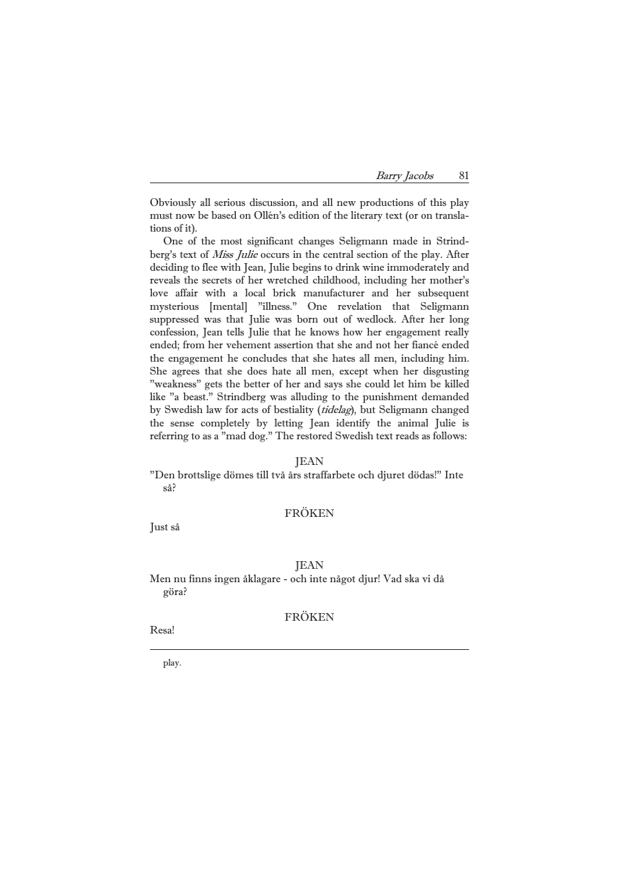Barry Jacobs 81

Obviously all serious discussion, and all new productions of this play must now be based on Ollén's edition of the literary text (or on translations of it).

 One of the most significant changes Seligmann made in Strindberg's text of Miss Julie occurs in the central section of the play. After deciding to flee with Jean, Julie begins to drink wine immoderately and reveals the secrets of her wretched childhood, including her mother's love affair with a local brick manufacturer and her subsequent mysterious [mental] "illness." One revelation that Seligmann suppressed was that Julie was born out of wedlock. After her long confession, Jean tells Julie that he knows how her engagement really ended; from her vehement assertion that she and not her fiancé ended the engagement he concludes that she hates all men, including him. She agrees that she does hate all men, except when her disgusting "weakness" gets the better of her and says she could let him be killed like "a beast." Strindberg was alluding to the punishment demanded by Swedish law for acts of bestiality (tidelag), but Seligmann changed the sense completely by letting Jean identify the animal Julie is referring to as a "mad dog." The restored Swedish text reads as follows:

#### **IEAN**

"Den brottslige dömes till två års straffarbete och djuret dödas!" Inte så?

# FRÖKEN

Just så

# **JEAN**

Men nu finns ingen åklagare - och inte något djur! Vad ska vi då göra?

# FRÖKEN

Resa!

 $\overline{\phantom{0}}$ 

play.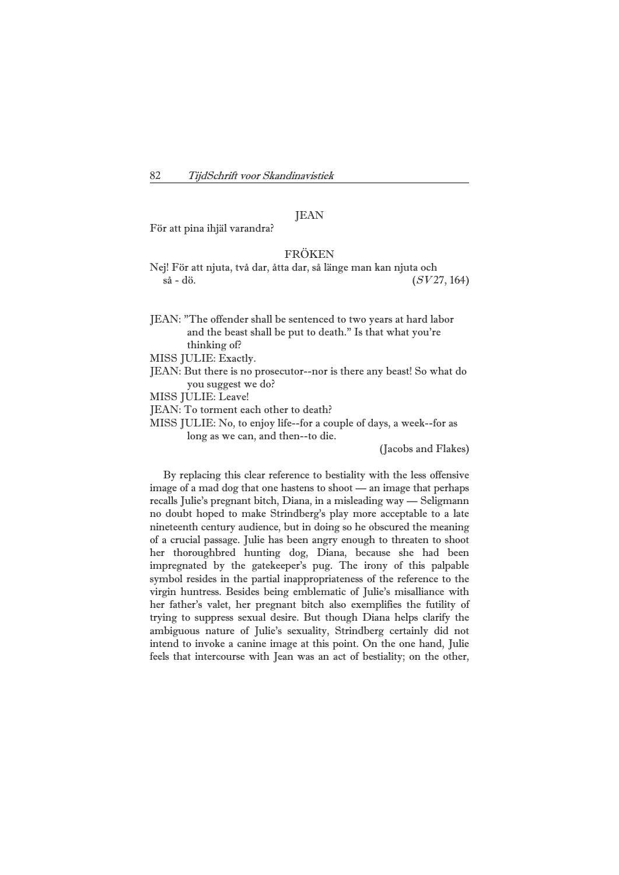#### **JEAN**

För att pina ihjäl varandra?

## FRÖKEN

Nej! För att njuta, två dar, åtta dar, så länge man kan njuta och  $s\text{a}$  - dö.  $(SV27, 164)$ 

JEAN: "The offender shall be sentenced to two years at hard labor and the beast shall be put to death." Is that what you're thinking of?

MISS JULIE: Exactly.

JEAN: But there is no prosecutor--nor is there any beast! So what do you suggest we do?

MISS JULIE: Leave!

JEAN: To torment each other to death?

MISS JULIE: No, to enjoy life--for a couple of days, a week--for as long as we can, and then--to die.

(Jacobs and Flakes)

 By replacing this clear reference to bestiality with the less offensive image of a mad dog that one hastens to shoot — an image that perhaps recalls Julie's pregnant bitch, Diana, in a misleading way — Seligmann no doubt hoped to make Strindberg's play more acceptable to a late nineteenth century audience, but in doing so he obscured the meaning of a crucial passage. Julie has been angry enough to threaten to shoot her thoroughbred hunting dog, Diana, because she had been impregnated by the gatekeeper's pug. The irony of this palpable symbol resides in the partial inappropriateness of the reference to the virgin huntress. Besides being emblematic of Julie's misalliance with her father's valet, her pregnant bitch also exemplifies the futility of trying to suppress sexual desire. But though Diana helps clarify the ambiguous nature of Julie's sexuality, Strindberg certainly did not intend to invoke a canine image at this point. On the one hand, Julie feels that intercourse with Jean was an act of bestiality; on the other,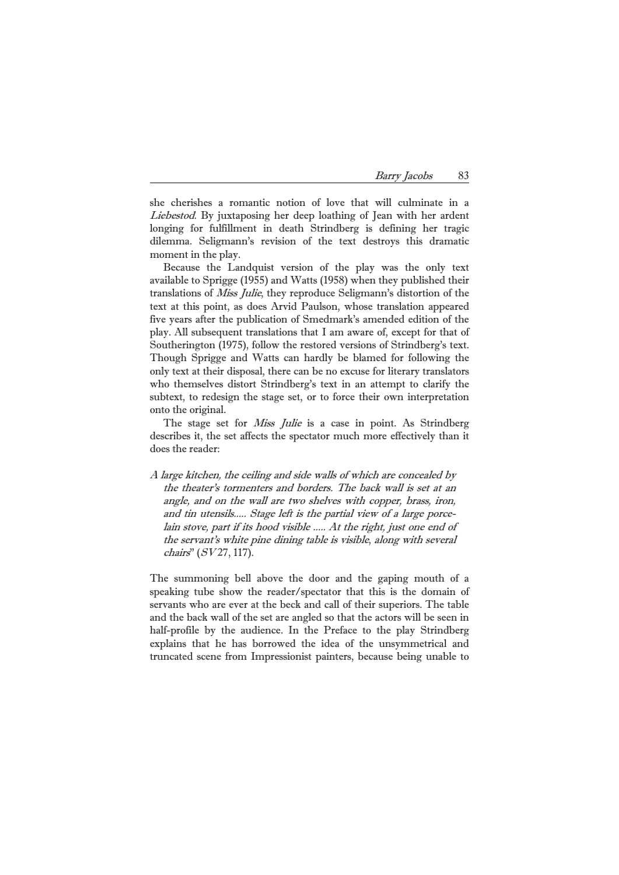| Barry Jacobs 83 |  |
|-----------------|--|
|                 |  |

she cherishes a romantic notion of love that will culminate in a Liebestod. By juxtaposing her deep loathing of Jean with her ardent longing for fulfillment in death Strindberg is defining her tragic dilemma. Seligmann's revision of the text destroys this dramatic moment in the play.

 Because the Landquist version of the play was the only text available to Sprigge (1955) and Watts (1958) when they published their translations of Miss Julie, they reproduce Seligmann's distortion of the text at this point, as does Arvid Paulson, whose translation appeared five years after the publication of Smedmark's amended edition of the play. All subsequent translations that I am aware of, except for that of Southerington (1975), follow the restored versions of Strindberg's text. Though Sprigge and Watts can hardly be blamed for following the only text at their disposal, there can be no excuse for literary translators who themselves distort Strindberg's text in an attempt to clarify the subtext, to redesign the stage set, or to force their own interpretation onto the original.

The stage set for *Miss Julie* is a case in point. As Strindberg describes it, the set affects the spectator much more effectively than it does the reader:

A large kitchen, the ceiling and side walls of which are concealed by the theater's tormenters and borders. The back wall is set at an angle, and on the wall are two shelves with copper, brass, iron, and tin utensils..... Stage left is the partial view of a large porcelain stove, part if its hood visible ..... At the right, just one end of the servant's white pine dining table is visible, along with several chairs" (SV 27, 117).

The summoning bell above the door and the gaping mouth of a speaking tube show the reader/spectator that this is the domain of servants who are ever at the beck and call of their superiors. The table and the back wall of the set are angled so that the actors will be seen in half-profile by the audience. In the Preface to the play Strindberg explains that he has borrowed the idea of the unsymmetrical and truncated scene from Impressionist painters, because being unable to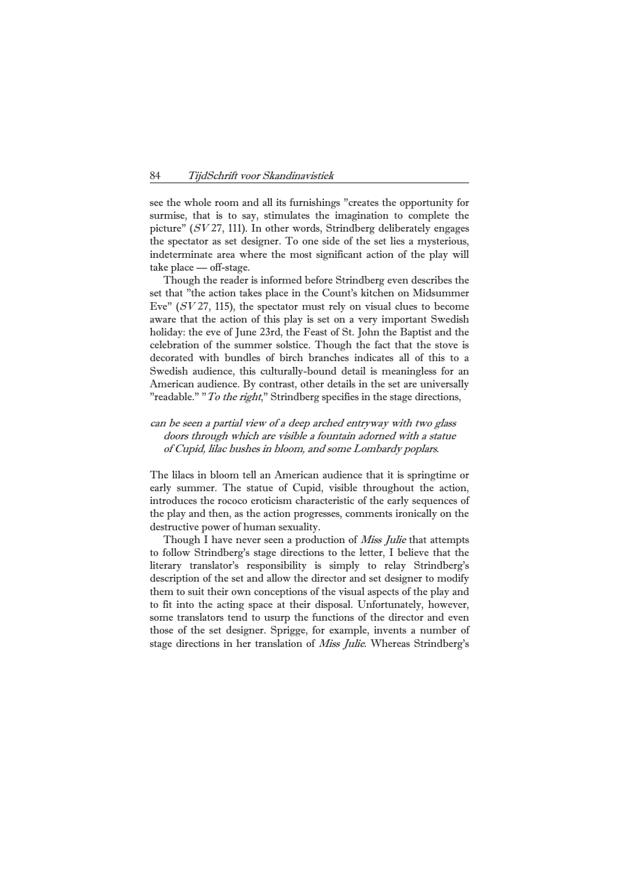see the whole room and all its furnishings "creates the opportunity for surmise, that is to say, stimulates the imagination to complete the picture" (SV 27, 111). In other words, Strindberg deliberately engages the spectator as set designer. To one side of the set lies a mysterious, indeterminate area where the most significant action of the play will take place — off-stage.

 Though the reader is informed before Strindberg even describes the set that "the action takes place in the Count's kitchen on Midsummer Eve"  $(SV27, 115)$ , the spectator must rely on visual clues to become aware that the action of this play is set on a very important Swedish holiday: the eve of June 23rd, the Feast of St. John the Baptist and the celebration of the summer solstice. Though the fact that the stove is decorated with bundles of birch branches indicates all of this to a Swedish audience, this culturally-bound detail is meaningless for an American audience. By contrast, other details in the set are universally "readable." " $To$  the right," Strindberg specifies in the stage directions,

# can be seen a partial view of a deep arched entryway with two glass doors through which are visible a fountain adorned with a statue of Cupid, lilac bushes in bloom, and some Lombardy poplars.

The lilacs in bloom tell an American audience that it is springtime or early summer. The statue of Cupid, visible throughout the action, introduces the rococo eroticism characteristic of the early sequences of the play and then, as the action progresses, comments ironically on the destructive power of human sexuality.

Though I have never seen a production of Miss Julie that attempts to follow Strindberg's stage directions to the letter, I believe that the literary translator's responsibility is simply to relay Strindberg's description of the set and allow the director and set designer to modify them to suit their own conceptions of the visual aspects of the play and to fit into the acting space at their disposal. Unfortunately, however, some translators tend to usurp the functions of the director and even those of the set designer. Sprigge, for example, invents a number of stage directions in her translation of Miss Julie. Whereas Strindberg's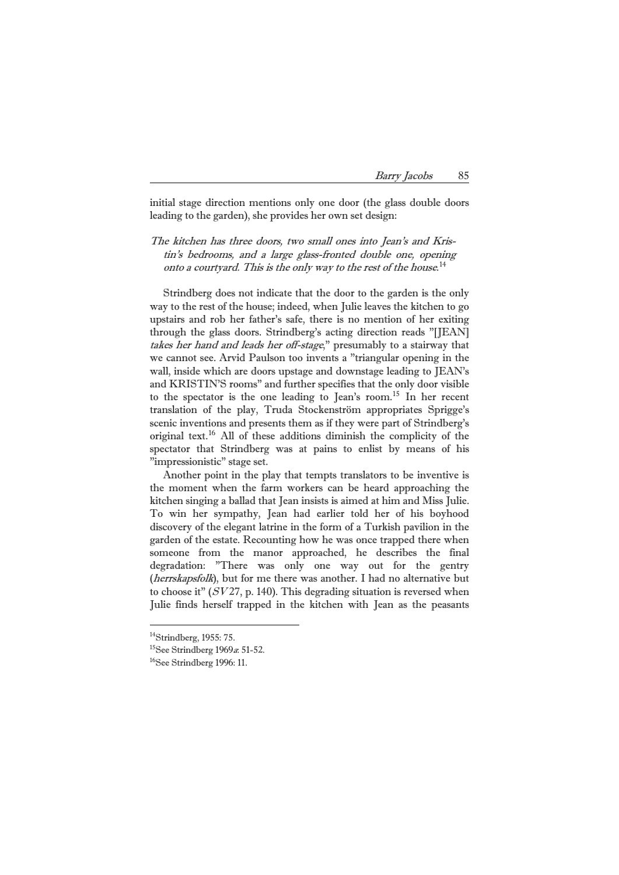| <i>Barry Jacobs</i> 85 |  |
|------------------------|--|
|                        |  |

initial stage direction mentions only one door (the glass double doors leading to the garden), she provides her own set design:

The kitchen has three doors, two small ones into Jean's and Kristin's bedrooms, and a large glass-fronted double one, opening onto a courtyard. This is the only way to the rest of the house.<sup>[14](#page-10-0)</sup>

 Strindberg does not indicate that the door to the garden is the only way to the rest of the house; indeed, when Julie leaves the kitchen to go upstairs and rob her father's safe, there is no mention of her exiting through the glass doors. Strindberg's acting direction reads "[JEAN] takes her hand and leads her off-stage," presumably to a stairway that we cannot see. Arvid Paulson too invents a "triangular opening in the wall, inside which are doors upstage and downstage leading to JEAN's and KRISTIN'S rooms" and further specifies that the only door visible to the spectator is the one leading to Jean's room.<sup>[15](#page-10-1)</sup> In her recent translation of the play, Truda Stockenström appropriates Sprigge's scenic inventions and presents them as if they were part of Strindberg's original text.<sup>[16](#page-10-2)</sup> All of these additions diminish the complicity of the spectator that Strindberg was at pains to enlist by means of his "impressionistic" stage set.

 Another point in the play that tempts translators to be inventive is the moment when the farm workers can be heard approaching the kitchen singing a ballad that Jean insists is aimed at him and Miss Julie. To win her sympathy, Jean had earlier told her of his boyhood discovery of the elegant latrine in the form of a Turkish pavilion in the garden of the estate. Recounting how he was once trapped there when someone from the manor approached, he describes the final degradation: "There was only one way out for the gentry (herrskapsfolk), but for me there was another. I had no alternative but to choose it"  $(SV27, p. 140)$ . This degrading situation is reversed when Julie finds herself trapped in the kitchen with Jean as the peasants

È,

<sup>14</sup>Strindberg, 1955: 75.

<span id="page-10-2"></span><span id="page-10-1"></span><span id="page-10-0"></span><sup>&</sup>lt;sup>15</sup>See Strindberg 1969*a*: 51-52.<br><sup>16</sup>See Strindberg 1996: 11.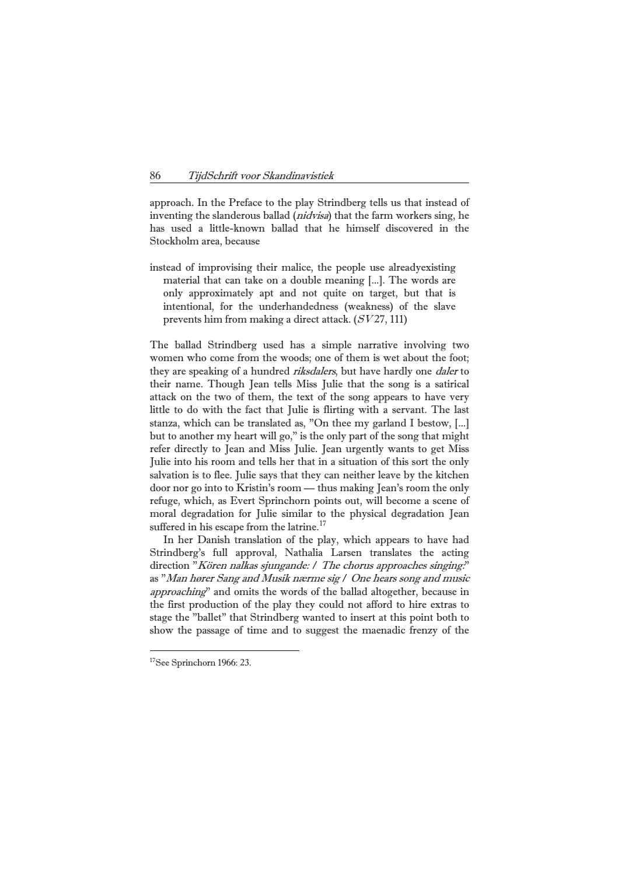approach. In the Preface to the play Strindberg tells us that instead of inventing the slanderous ballad *(nidvisa)* that the farm workers sing, he has used a little-known ballad that he himself discovered in the Stockholm area, because

instead of improvising their malice, the people use alreadyexisting material that can take on a double meaning [...]. The words are only approximately apt and not quite on target, but that is intentional, for the underhandedness (weakness) of the slave prevents him from making a direct attack.  $(SV27, 111)$ 

The ballad Strindberg used has a simple narrative involving two women who come from the woods; one of them is wet about the foot; they are speaking of a hundred *riksdalers*, but have hardly one *daler* to their name. Though Jean tells Miss Julie that the song is a satirical attack on the two of them, the text of the song appears to have very little to do with the fact that Julie is flirting with a servant. The last stanza, which can be translated as, "On thee my garland I bestow, [...] but to another my heart will go," is the only part of the song that might refer directly to Jean and Miss Julie. Jean urgently wants to get Miss Julie into his room and tells her that in a situation of this sort the only salvation is to flee. Julie says that they can neither leave by the kitchen door nor go into to Kristin's room — thus making Jean's room the only refuge, which, as Evert Sprinchorn points out, will become a scene of moral degradation for Julie similar to the physical degradation Jean suffered in his escape from the latrine.<sup>[17](#page-11-0)</sup>

 In her Danish translation of the play, which appears to have had Strindberg's full approval, Nathalia Larsen translates the acting direction "Kören nalkas sjungande: / The chorus approaches singing:" as "Man hører Sang and Musik nærme sig / One hears song and music approaching" and omits the words of the ballad altogether, because in the first production of the play they could not afford to hire extras to stage the "ballet" that Strindberg wanted to insert at this point both to show the passage of time and to suggest the maenadic frenzy of the

<span id="page-11-0"></span><sup>17</sup>See Sprinchorn 1966: 23.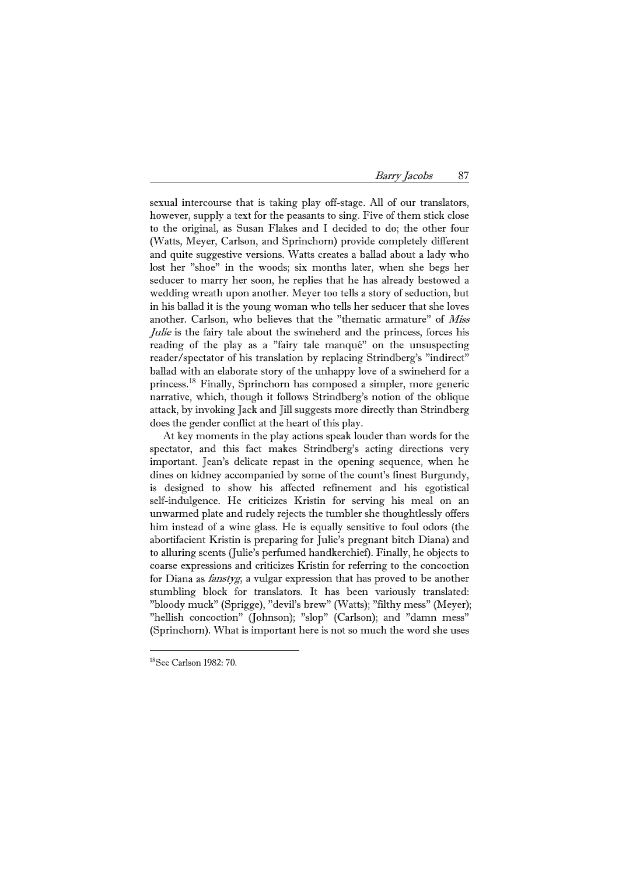| Barry Jacobs 87 |  |
|-----------------|--|
|                 |  |

sexual intercourse that is taking play off-stage. All of our translators, however, supply a text for the peasants to sing. Five of them stick close to the original, as Susan Flakes and I decided to do; the other four (Watts, Meyer, Carlson, and Sprinchorn) provide completely different and quite suggestive versions. Watts creates a ballad about a lady who lost her "shoe" in the woods; six months later, when she begs her seducer to marry her soon, he replies that he has already bestowed a wedding wreath upon another. Meyer too tells a story of seduction, but in his ballad it is the young woman who tells her seducer that she loves another. Carlson, who believes that the "thematic armature" of Miss Julie is the fairy tale about the swineherd and the princess, forces his reading of the play as a "fairy tale manqué" on the unsuspecting reader/spectator of his translation by replacing Strindberg's "indirect" ballad with an elaborate story of the unhappy love of a swineherd for a princess.[18](#page-12-0) Finally, Sprinchorn has composed a simpler, more generic narrative, which, though it follows Strindberg's notion of the oblique attack, by invoking Jack and Jill suggests more directly than Strindberg does the gender conflict at the heart of this play.

 At key moments in the play actions speak louder than words for the spectator, and this fact makes Strindberg's acting directions very important. Jean's delicate repast in the opening sequence, when he dines on kidney accompanied by some of the count's finest Burgundy, is designed to show his affected refinement and his egotistical self-indulgence. He criticizes Kristin for serving his meal on an unwarmed plate and rudely rejects the tumbler she thoughtlessly offers him instead of a wine glass. He is equally sensitive to foul odors (the abortifacient Kristin is preparing for Julie's pregnant bitch Diana) and to alluring scents (Julie's perfumed handkerchief). Finally, he objects to coarse expressions and criticizes Kristin for referring to the concoction for Diana as fanstyg, a vulgar expression that has proved to be another stumbling block for translators. It has been variously translated: "bloody muck" (Sprigge), "devil's brew" (Watts); "filthy mess" (Meyer); "hellish concoction" (Johnson); "slop" (Carlson); and "damn mess" (Sprinchorn). What is important here is not so much the word she uses

<span id="page-12-0"></span><sup>18</sup>See Carlson 1982: 70.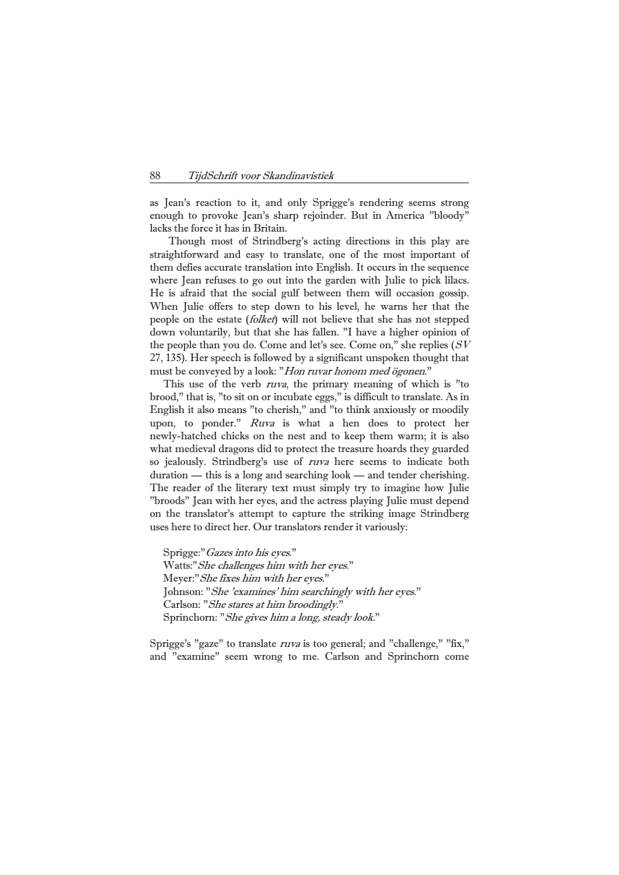as Jean's reaction to it, and only Sprigge's rendering seems strong enough to provoke Jean's sharp rejoinder. But in America "bloody" lacks the force it has in Britain.

 Though most of Strindberg's acting directions in this play are straightforward and easy to translate, one of the most important of them defies accurate translation into English. It occurs in the sequence where Jean refuses to go out into the garden with Julie to pick lilacs. He is afraid that the social gulf between them will occasion gossip. When Julie offers to step down to his level, he warns her that the people on the estate (folket) will not believe that she has not stepped down voluntarily, but that she has fallen. "I have a higher opinion of the people than you do. Come and let's see. Come on," she replies  $(SV)$ 27, 135). Her speech is followed by a significant unspoken thought that must be conveyed by a look: "Hon ruvar honom med ögonen."

This use of the verb *ruva*, the primary meaning of which is "to brood," that is, "to sit on or incubate eggs," is difficult to translate. As in English it also means "to cherish," and "to think anxiously or moodily upon, to ponder." Ruva is what a hen does to protect her newly-hatched chicks on the nest and to keep them warm; it is also what medieval dragons did to protect the treasure hoards they guarded so jealously. Strindberg's use of *ruva* here seems to indicate both duration — this is a long and searching look — and tender cherishing. The reader of the literary text must simply try to imagine how Julie "broods" Jean with her eyes, and the actress playing Julie must depend on the translator's attempt to capture the striking image Strindberg uses here to direct her. Our translators render it variously:

 Sprigge:"Gazes into his eyes." Watts:"She challenges him with her eyes." Meyer:"She fixes him with her eyes." Johnson: "She 'examines' him searchingly with her eyes." Carlson: "She stares at him broodingly." Sprinchorn: "She gives him a long, steady look."

Sprigge's "gaze" to translate *ruva* is too general; and "challenge," "fix," and "examine" seem wrong to me. Carlson and Sprinchorn come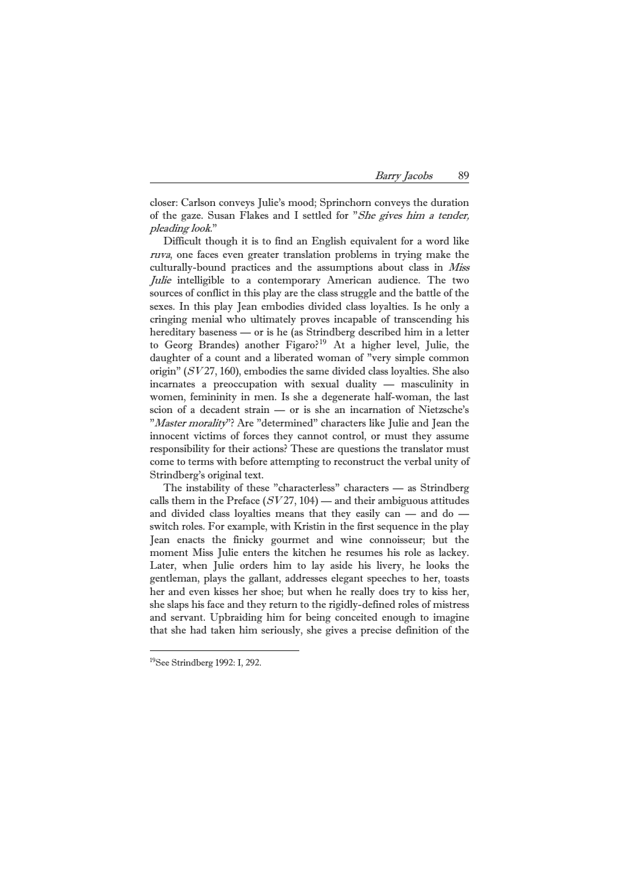Barry Jacobs 89

closer: Carlson conveys Julie's mood; Sprinchorn conveys the duration of the gaze. Susan Flakes and I settled for "She gives him a tender, pleading look."

 Difficult though it is to find an English equivalent for a word like ruva, one faces even greater translation problems in trying make the culturally-bound practices and the assumptions about class in Miss Julie intelligible to a contemporary American audience. The two sources of conflict in this play are the class struggle and the battle of the sexes. In this play Jean embodies divided class loyalties. Is he only a cringing menial who ultimately proves incapable of transcending his hereditary baseness — or is he (as Strindberg described him in a letter to Georg Brandes) another Figaro?<sup>[19](#page-14-0)</sup> At a higher level, Julie, the daughter of a count and a liberated woman of "very simple common origin" (SV 27, 160), embodies the same divided class loyalties. She also incarnates a preoccupation with sexual duality — masculinity in women, femininity in men. Is she a degenerate half-woman, the last scion of a decadent strain — or is she an incarnation of Nietzsche's "Master morality"? Are "determined" characters like Julie and Jean the innocent victims of forces they cannot control, or must they assume responsibility for their actions? These are questions the translator must come to terms with before attempting to reconstruct the verbal unity of Strindberg's original text.

 The instability of these "characterless" characters — as Strindberg calls them in the Preface  $(SV27, 104)$  — and their ambiguous attitudes and divided class loyalties means that they easily can — and do switch roles. For example, with Kristin in the first sequence in the play Jean enacts the finicky gourmet and wine connoisseur; but the moment Miss Julie enters the kitchen he resumes his role as lackey. Later, when Julie orders him to lay aside his livery, he looks the gentleman, plays the gallant, addresses elegant speeches to her, toasts her and even kisses her shoe; but when he really does try to kiss her, she slaps his face and they return to the rigidly-defined roles of mistress and servant. Upbraiding him for being conceited enough to imagine that she had taken him seriously, she gives a precise definition of the

<span id="page-14-0"></span><sup>19</sup>See Strindberg 1992: I, 292.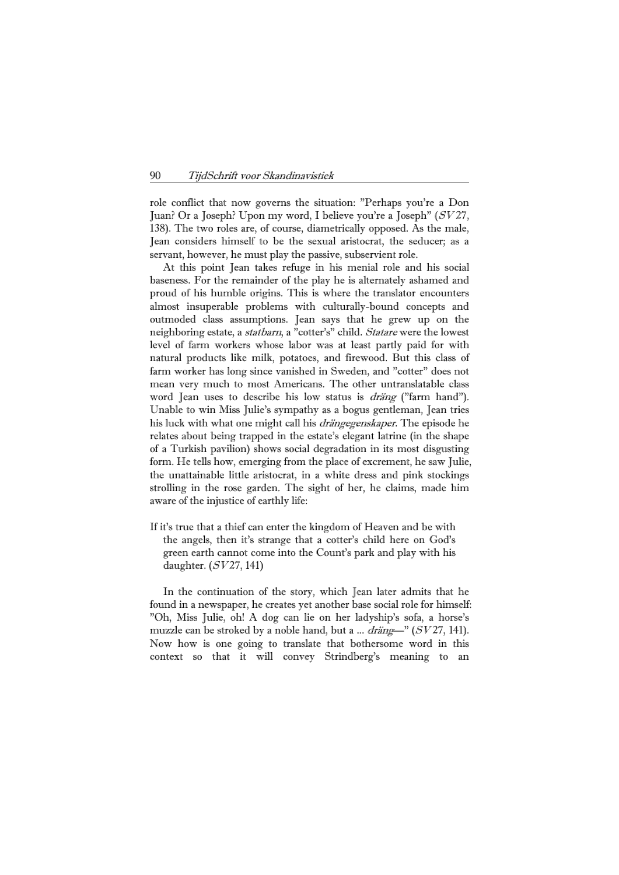role conflict that now governs the situation: "Perhaps you're a Don Juan? Or a Joseph? Upon my word, I believe you're a Joseph" (SV 27, 138). The two roles are, of course, diametrically opposed. As the male, Jean considers himself to be the sexual aristocrat, the seducer; as a servant, however, he must play the passive, subservient role.

 At this point Jean takes refuge in his menial role and his social baseness. For the remainder of the play he is alternately ashamed and proud of his humble origins. This is where the translator encounters almost insuperable problems with culturally-bound concepts and outmoded class assumptions. Jean says that he grew up on the neighboring estate, a statbarn, a "cotter's" child. Statare were the lowest level of farm workers whose labor was at least partly paid for with natural products like milk, potatoes, and firewood. But this class of farm worker has long since vanished in Sweden, and "cotter" does not mean very much to most Americans. The other untranslatable class word Jean uses to describe his low status is *dräng* ("farm hand"). Unable to win Miss Julie's sympathy as a bogus gentleman, Jean tries his luck with what one might call his *drängegenskaper*. The episode he relates about being trapped in the estate's elegant latrine (in the shape of a Turkish pavilion) shows social degradation in its most disgusting form. He tells how, emerging from the place of excrement, he saw Julie, the unattainable little aristocrat, in a white dress and pink stockings strolling in the rose garden. The sight of her, he claims, made him aware of the injustice of earthly life:

If it's true that a thief can enter the kingdom of Heaven and be with the angels, then it's strange that a cotter's child here on God's green earth cannot come into the Count's park and play with his daughter.  $(SV27, 141)$ 

 In the continuation of the story, which Jean later admits that he found in a newspaper, he creates yet another base social role for himself: "Oh, Miss Julie, oh! A dog can lie on her ladyship's sofa, a horse's muzzle can be stroked by a noble hand, but a ... dräng—" (SV27, 141). Now how is one going to translate that bothersome word in this context so that it will convey Strindberg's meaning to an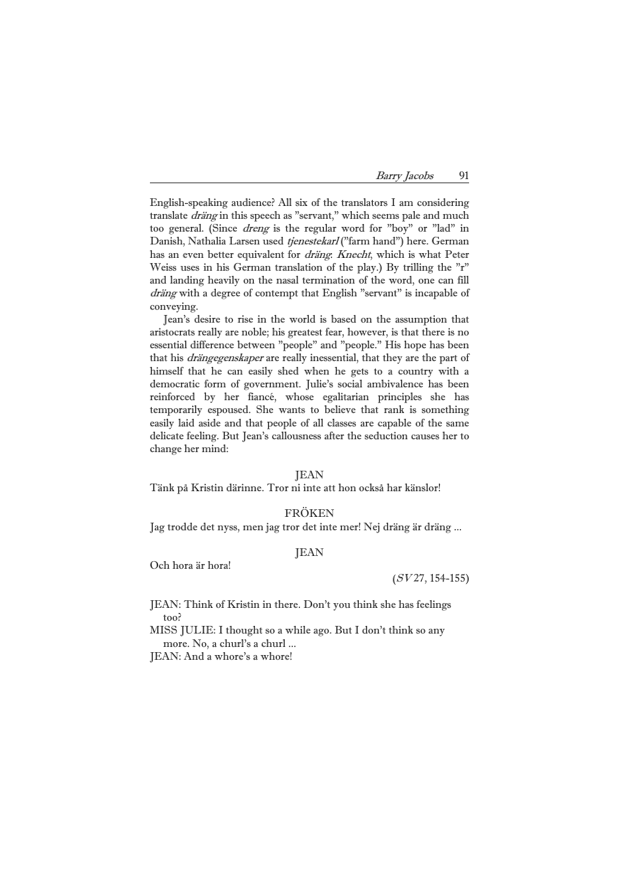| <i>Barry Jacobs</i> 91 |  |
|------------------------|--|
|                        |  |

English-speaking audience? All six of the translators I am considering translate dräng in this speech as "servant," which seems pale and much too general. (Since dreng is the regular word for "boy" or "lad" in Danish, Nathalia Larsen used tjenestekarl ("farm hand") here. German has an even better equivalent for dräng: Knecht, which is what Peter Weiss uses in his German translation of the play.) By trilling the "r" and landing heavily on the nasal termination of the word, one can fill dräng with a degree of contempt that English "servant" is incapable of conveying.

 Jean's desire to rise in the world is based on the assumption that aristocrats really are noble; his greatest fear, however, is that there is no essential difference between "people" and "people." His hope has been that his *drängegenskaper* are really inessential, that they are the part of himself that he can easily shed when he gets to a country with a democratic form of government. Julie's social ambivalence has been reinforced by her fiancé, whose egalitarian principles she has temporarily espoused. She wants to believe that rank is something easily laid aside and that people of all classes are capable of the same delicate feeling. But Jean's callousness after the seduction causes her to change her mind:

#### **JEAN**

Tänk på Kristin därinne. Tror ni inte att hon också har känslor!

#### FRÖKEN

Jag trodde det nyss, men jag tror det inte mer! Nej dräng är dräng ...

### JEAN

Och hora är hora!

#### (SV 27, 154-155)

JEAN: Think of Kristin in there. Don't you think she has feelings too?

MISS JULIE: I thought so a while ago. But I don't think so any more. No, a churl's a churl ...

JEAN: And a whore's a whore!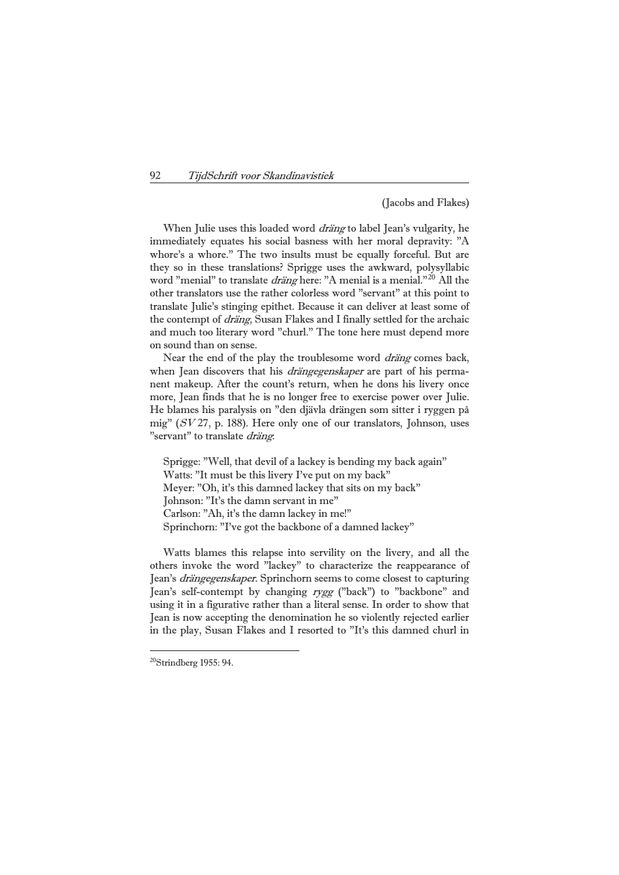(Jacobs and Flakes)

When Julie uses this loaded word *dräng* to label Jean's vulgarity, he immediately equates his social basness with her moral depravity: "A whore's a whore." The two insults must be equally forceful. But are they so in these translations? Sprigge uses the awkward, polysyllabic word "menial" to translate *dräng* here: "A menial is a menial."<sup>[20](#page-17-0)</sup> All the other translators use the rather colorless word "servant" at this point to translate Julie's stinging epithet. Because it can deliver at least some of the contempt of *dräng*, Susan Flakes and I finally settled for the archaic and much too literary word "churl." The tone here must depend more on sound than on sense.

Near the end of the play the troublesome word *dräng* comes back, when Jean discovers that his *drängegenskaper* are part of his permanent makeup. After the count's return, when he dons his livery once more, Jean finds that he is no longer free to exercise power over Julie. He blames his paralysis on "den djävla drängen som sitter i ryggen på mig" (SV 27, p. 188). Here only one of our translators, Johnson, uses "servant" to translate *dräng*:

 Sprigge: "Well, that devil of a lackey is bending my back again" Watts: "It must be this livery I've put on my back" Meyer: "Oh, it's this damned lackey that sits on my back" Johnson: "It's the damn servant in me" Carlson: "Ah, it's the damn lackey in me!" Sprinchorn: "I've got the backbone of a damned lackey"

 Watts blames this relapse into servility on the livery, and all the others invoke the word "lackey" to characterize the reappearance of Jean's *drängegenskaper*. Sprinchorn seems to come closest to capturing Jean's self-contempt by changing rygg ("back") to "backbone" and using it in a figurative rather than a literal sense. In order to show that Jean is now accepting the denomination he so violently rejected earlier in the play, Susan Flakes and I resorted to "It's this damned churl in

<span id="page-17-0"></span><sup>20</sup>Strindberg 1955: 94.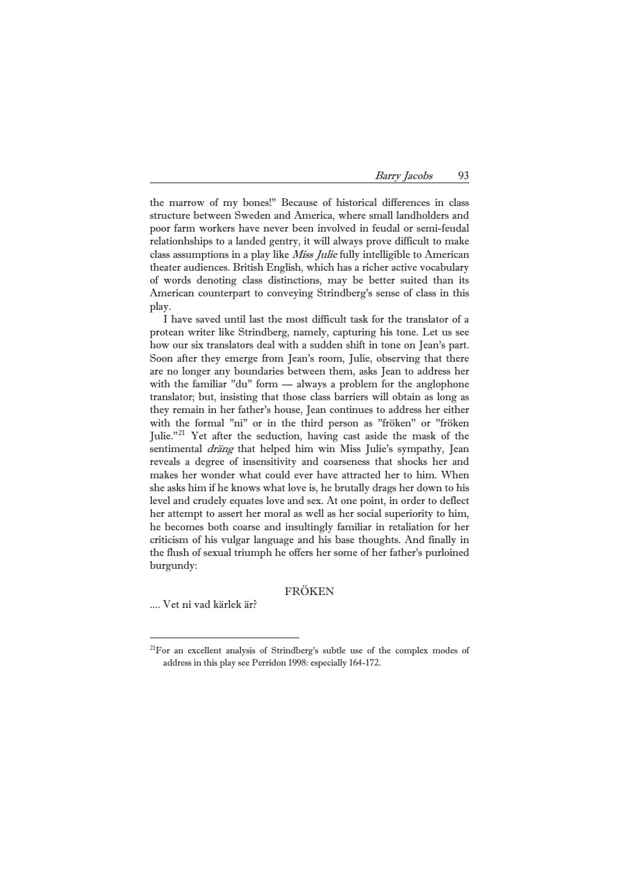| <i>Barry Jacobs</i> 93 |  |
|------------------------|--|
|                        |  |

the marrow of my bones!" Because of historical differences in class structure between Sweden and America, where small landholders and poor farm workers have never been involved in feudal or semi-feudal relationhships to a landed gentry, it will always prove difficult to make class assumptions in a play like *Miss Julie* fully intelligible to American theater audiences. British English, which has a richer active vocabulary of words denoting class distinctions, may be better suited than its American counterpart to conveying Strindberg's sense of class in this play.

 I have saved until last the most difficult task for the translator of a protean writer like Strindberg, namely, capturing his tone. Let us see how our six translators deal with a sudden shift in tone on Jean's part. Soon after they emerge from Jean's room, Julie, observing that there are no longer any boundaries between them, asks Jean to address her with the familiar "du" form — always a problem for the anglophone translator; but, insisting that those class barriers will obtain as long as they remain in her father's house, Jean continues to address her either with the formal "ni" or in the third person as "fröken" or "fröken Julie."[21](#page-18-0) Yet after the seduction, having cast aside the mask of the sentimental *dräng* that helped him win Miss Julie's sympathy, Jean reveals a degree of insensitivity and coarseness that shocks her and makes her wonder what could ever have attracted her to him. When she asks him if he knows what love is, he brutally drags her down to his level and crudely equates love and sex. At one point, in order to deflect her attempt to assert her moral as well as her social superiority to him, he becomes both coarse and insultingly familiar in retaliation for her criticism of his vulgar language and his base thoughts. And finally in the flush of sexual triumph he offers her some of her father's purloined burgundy:

## FRÖKEN

.... Vet ni vad kärlek är?

<span id="page-18-0"></span> $^{21}$ For an excellent analysis of Strindberg's subtle use of the complex modes of address in this play see Perridon 1998: especially 164-172.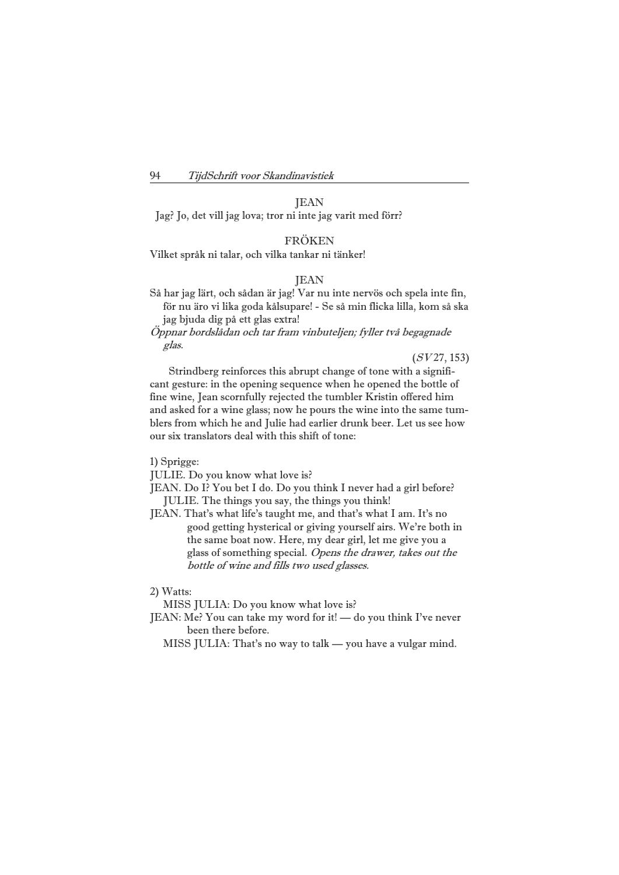## JEAN

Jag? Jo, det vill jag lova; tror ni inte jag varit med förr?

# FRÖKEN

Vilket språk ni talar, och vilka tankar ni tänker!

## **JEAN**

Så har jag lärt, och sådan är jag! Var nu inte nervös och spela inte fin, för nu äro vi lika goda kålsupare! - Se så min flicka lilla, kom så ska jag bjuda dig på ett glas extra!

Öppnar bordslådan och tar fram vinbuteljen; fyller två begagnade glas.

 $(SV27, 153)$ 

 Strindberg reinforces this abrupt change of tone with a significant gesture: in the opening sequence when he opened the bottle of fine wine, Jean scornfully rejected the tumbler Kristin offered him and asked for a wine glass; now he pours the wine into the same tumblers from which he and Julie had earlier drunk beer. Let us see how our six translators deal with this shift of tone:

1) Sprigge:

JULIE. Do you know what love is?

JEAN. Do I? You bet I do. Do you think I never had a girl before? JULIE. The things you say, the things you think!

JEAN. That's what life's taught me, and that's what I am. It's no good getting hysterical or giving yourself airs. We're both in the same boat now. Here, my dear girl, let me give you a glass of something special. Opens the drawer, takes out the bottle of wine and fills two used glasses.

2) Watts:

MISS JULIA: Do you know what love is?

- JEAN: Me? You can take my word for it! do you think I've never been there before.
	- MISS JULIA: That's no way to talk you have a vulgar mind.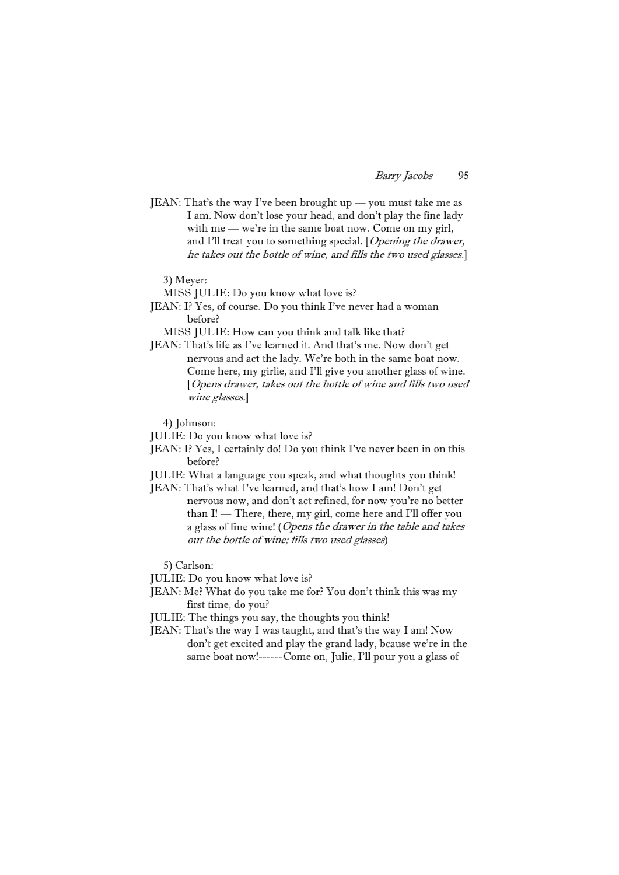| <i>Barry Jacobs</i> 95 |  |
|------------------------|--|
|                        |  |

JEAN: That's the way I've been brought up — you must take me as I am. Now don't lose your head, and don't play the fine lady with me — we're in the same boat now. Come on my girl, and I'll treat you to something special. [Opening the drawer, he takes out the bottle of wine, and fills the two used glasses.]

3) Meyer:

MISS JULIE: Do you know what love is?

JEAN: I? Yes, of course. Do you think I've never had a woman before?

MISS JULIE: How can you think and talk like that?

JEAN: That's life as I've learned it. And that's me. Now don't get nervous and act the lady. We're both in the same boat now. Come here, my girlie, and I'll give you another glass of wine. [Opens drawer, takes out the bottle of wine and fills two used wine glasses.]

4) Johnson:

- JULIE: Do you know what love is?
- JEAN: I? Yes, I certainly do! Do you think I've never been in on this before?
- JULIE: What a language you speak, and what thoughts you think!
- JEAN: That's what I've learned, and that's how I am! Don't get nervous now, and don't act refined, for now you're no better than I! — There, there, my girl, come here and I'll offer you a glass of fine wine! (Opens the drawer in the table and takes out the bottle of wine; fills two used glasses)

5) Carlson:

JULIE: Do you know what love is?

JEAN: Me? What do you take me for? You don't think this was my first time, do you?

JULIE: The things you say, the thoughts you think!

JEAN: That's the way I was taught, and that's the way I am! Now don't get excited and play the grand lady, bcause we're in the same boat now!------Come on, Julie, I'll pour you a glass of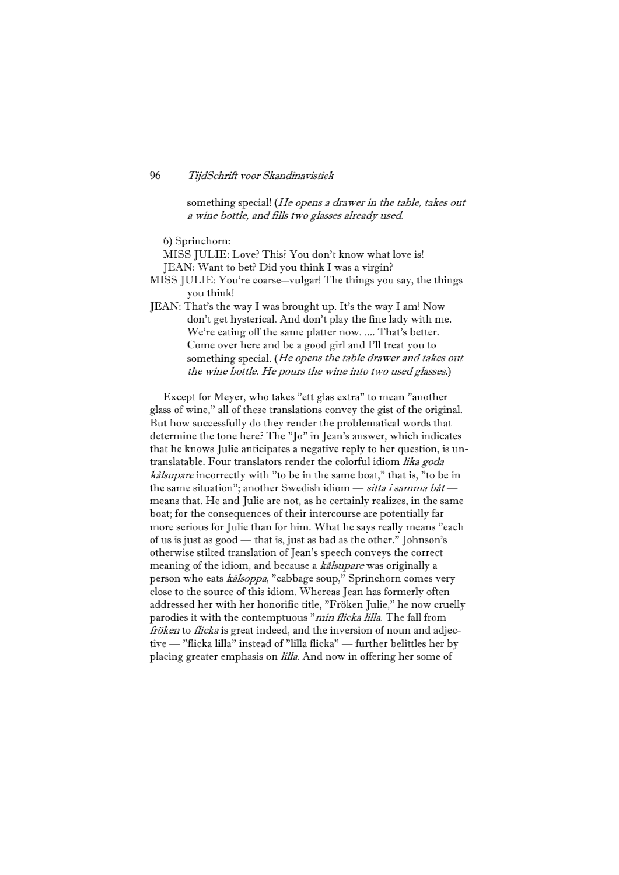something special! (He opens a drawer in the table, takes out a wine bottle, and fills two glasses already used.

6) Sprinchorn:

 MISS JULIE: Love? This? You don't know what love is! JEAN: Want to bet? Did you think I was a virgin?

MISS JULIE: You're coarse--vulgar! The things you say, the things you think!

JEAN: That's the way I was brought up. It's the way I am! Now don't get hysterical. And don't play the fine lady with me. We're eating off the same platter now. .... That's better. Come over here and be a good girl and I'll treat you to something special. (He opens the table drawer and takes out the wine bottle. He pours the wine into two used glasses.)

 Except for Meyer, who takes "ett glas extra" to mean "another glass of wine," all of these translations convey the gist of the original. But how successfully do they render the problematical words that determine the tone here? The "Jo" in Jean's answer, which indicates that he knows Julie anticipates a negative reply to her question, is untranslatable. Four translators render the colorful idiom lika goda kalsupare incorrectly with "to be in the same boat," that is, "to be in the same situation"; another Swedish idiom — sitta i samma båt means that. He and Julie are not, as he certainly realizes, in the same boat; for the consequences of their intercourse are potentially far more serious for Julie than for him. What he says really means "each of us is just as good — that is, just as bad as the other." Johnson's otherwise stilted translation of Jean's speech conveys the correct meaning of the idiom, and because a kålsupare was originally a person who eats kålsoppa, "cabbage soup," Sprinchorn comes very close to the source of this idiom. Whereas Jean has formerly often addressed her with her honorific title, "Fröken Julie," he now cruelly parodies it with the contemptuous "min flicka lilla. The fall from fröken to flicka is great indeed, and the inversion of noun and adjective — "flicka lilla" instead of "lilla flicka" — further belittles her by placing greater emphasis on lilla. And now in offering her some of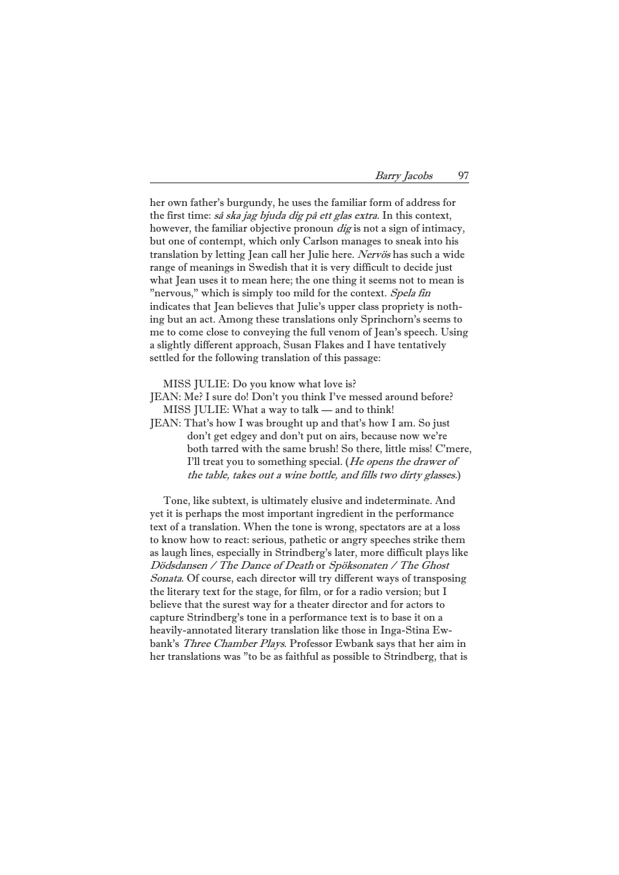| <i>Barry Jacobs</i> 97 |  |
|------------------------|--|
|                        |  |

her own father's burgundy, he uses the familiar form of address for the first time: så ska jag bjuda dig på ett glas extra. In this context, however, the familiar objective pronoun *dig* is not a sign of intimacy, but one of contempt, which only Carlson manages to sneak into his translation by letting Jean call her Julie here. Nervös has such a wide range of meanings in Swedish that it is very difficult to decide just what Jean uses it to mean here; the one thing it seems not to mean is "nervous," which is simply too mild for the context. Spela fin indicates that Jean believes that Julie's upper class propriety is nothing but an act. Among these translations only Sprinchorn's seems to me to come close to conveying the full venom of Jean's speech. Using a slightly different approach, Susan Flakes and I have tentatively settled for the following translation of this passage:

MISS JULIE: Do you know what love is?

JEAN: Me? I sure do! Don't you think I've messed around before? MISS JULIE: What a way to talk — and to think!

JEAN: That's how I was brought up and that's how I am. So just don't get edgey and don't put on airs, because now we're both tarred with the same brush! So there, little miss! C'mere, I'll treat you to something special. (He opens the drawer of the table, takes out a wine bottle, and fills two dirty glasses.)

 Tone, like subtext, is ultimately elusive and indeterminate. And yet it is perhaps the most important ingredient in the performance text of a translation. When the tone is wrong, spectators are at a loss to know how to react: serious, pathetic or angry speeches strike them as laugh lines, especially in Strindberg's later, more difficult plays like Dödsdansen / The Dance of Death or Spöksonaten / The Ghost Sonata. Of course, each director will try different ways of transposing the literary text for the stage, for film, or for a radio version; but I believe that the surest way for a theater director and for actors to capture Strindberg's tone in a performance text is to base it on a heavily-annotated literary translation like those in Inga-Stina Ewbank's Three Chamber Plays. Professor Ewbank says that her aim in her translations was "to be as faithful as possible to Strindberg, that is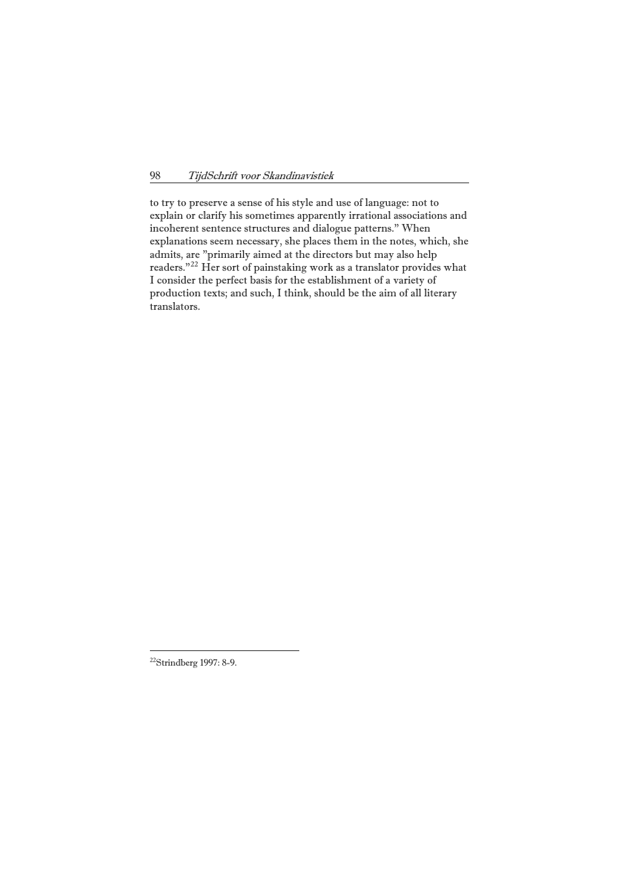to try to preserve a sense of his style and use of language: not to explain or clarify his sometimes apparently irrational associations and incoherent sentence structures and dialogue patterns." When explanations seem necessary, she places them in the notes, which, she admits, are "primarily aimed at the directors but may also help readers."<sup>[22](#page-23-0)</sup> Her sort of painstaking work as a translator provides what I consider the perfect basis for the establishment of a variety of production texts; and such, I think, should be the aim of all literary translators.

<span id="page-23-0"></span>22Strindberg 1997: 8-9.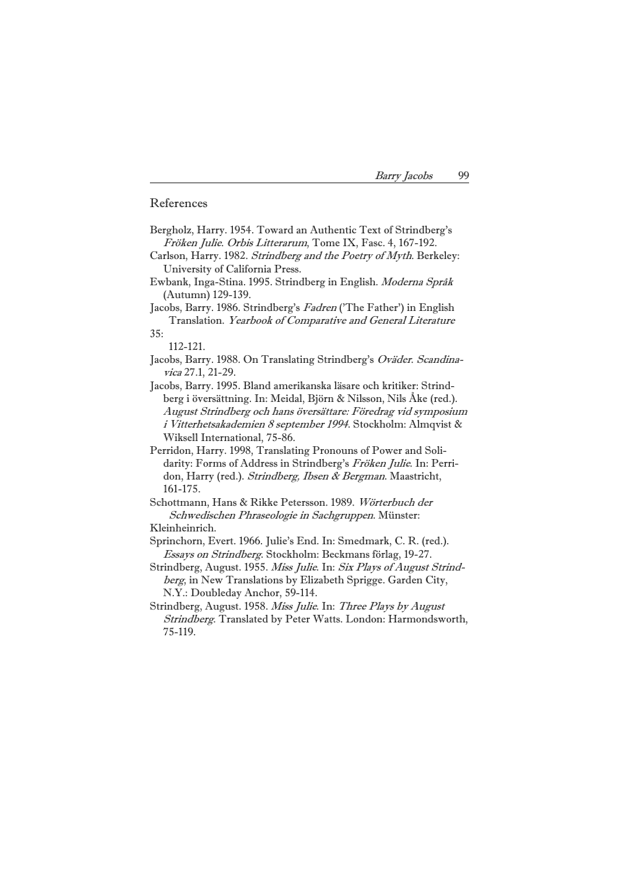| <i>Barry Jacobs</i> 99 |  |
|------------------------|--|
|                        |  |

# References

| Bergholz, Harry. 1954. Toward an Authentic Text of Strindberg's |  |                                                            |  |  |
|-----------------------------------------------------------------|--|------------------------------------------------------------|--|--|
|                                                                 |  | Fröken Julie. Orbis Litterarum, Tome IX, Fasc. 4, 167-192. |  |  |

- Carlson, Harry. 1982. Strindberg and the Poetry of Myth. Berkeley: University of California Press.
- Ewbank, Inga-Stina. 1995. Strindberg in English. Moderna Språk (Autumn) 129-139.

Jacobs, Barry. 1986. Strindberg's Fadren ('The Father') in English Translation. Yearbook of Comparative and General Literature 35:

112-121.

- Jacobs, Barry. 1988. On Translating Strindberg's Oväder. Scandinavica 27.1, 21-29.
- Jacobs, Barry. 1995. Bland amerikanska läsare och kritiker: Strindberg i översättning. In: Meidal, Björn & Nilsson, Nils Åke (red.). August Strindberg och hans översättare: Föredrag vid symposium i Vitterhetsakademien 8 september 1994. Stockholm: Almqvist & Wiksell International, 75-86.
- Perridon, Harry. 1998, Translating Pronouns of Power and Solidarity: Forms of Address in Strindberg's Fröken Julie. In: Perridon, Harry (red.). Strindberg, Ibsen & Bergman. Maastricht, 161-175.
- Schottmann, Hans & Rikke Petersson. 1989. Wörterbuch der Schwedischen Phraseologie in Sachgruppen. Münster:

Kleinheinrich.

Sprinchorn, Evert. 1966. Julie's End. In: Smedmark, C. R. (red.). Essays on Strindberg. Stockholm: Beckmans förlag, 19-27.

Strindberg, August. 1955. Miss Julie. In: Six Plays of August Strindberg, in New Translations by Elizabeth Sprigge. Garden City, N.Y.: Doubleday Anchor, 59-114.

Strindberg, August. 1958. Miss Julie. In: Three Plays by August Strindberg. Translated by Peter Watts. London: Harmondsworth, 75-119.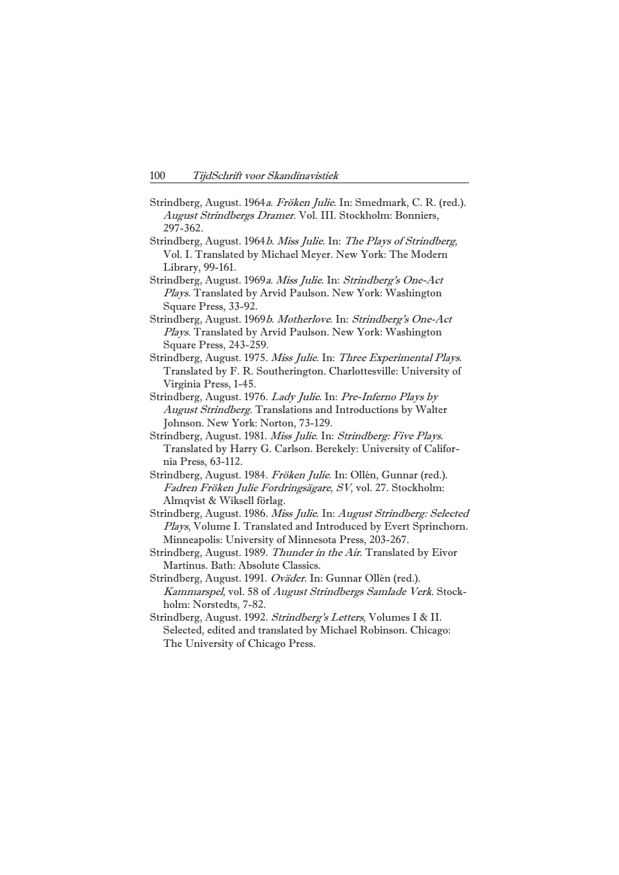- Strindberg, August. 1964a. Fröken Julie. In: Smedmark, C. R. (red.). August Strindbergs Dramer. Vol. III. Stockholm: Bonniers, 297-362.
- Strindberg, August. 1964b. Miss Julie. In: The Plays of Strindberg, Vol. I. Translated by Michael Meyer. New York: The Modern Library, 99-161.
- Strindberg, August. 1969a. Miss Julie. In: Strindberg's One-Act Plays. Translated by Arvid Paulson. New York: Washington Square Press, 33-92.
- Strindberg, August. 1969b. Motherlove. In: Strindberg's One-Act Plays. Translated by Arvid Paulson. New York: Washington Square Press, 243-259.
- Strindberg, August. 1975. Miss Julie. In: Three Experimental Plays. Translated by F. R. Southerington. Charlottesville: University of Virginia Press, 1-45.
- Strindberg, August. 1976. Lady Julie. In: Pre-Inferno Plays by August Strindberg. Translations and Introductions by Walter Johnson. New York: Norton, 73-129.
- Strindberg, August. 1981. Miss Julie. In: Strindberg: Five Plays. Translated by Harry G. Carlson. Berekely: University of California Press, 63-112.
- Strindberg, August. 1984. *Fröken Julie*. In: Ollén, Gunnar (red.). Fadren Fröken Julie Fordringsägare, SV, vol. 27. Stockholm: Almqvist & Wiksell förlag.
- Strindberg, August. 1986. Miss Julie. In: August Strindberg: Selected Plays, Volume I. Translated and Introduced by Evert Sprinchorn. Minneapolis: University of Minnesota Press, 203-267.
- Strindberg, August. 1989. Thunder in the Air. Translated by Eivor Martinus. Bath: Absolute Classics.
- Strindberg, August. 1991. Oväder. In: Gunnar Ollén (red.). Kammarspel, vol. 58 of August Strindbergs Samlade Verk. Stockholm: Norstedts, 7-82.
- Strindberg, August. 1992. Strindberg's Letters, Volumes I & II. Selected, edited and translated by Michael Robinson. Chicago: The University of Chicago Press.